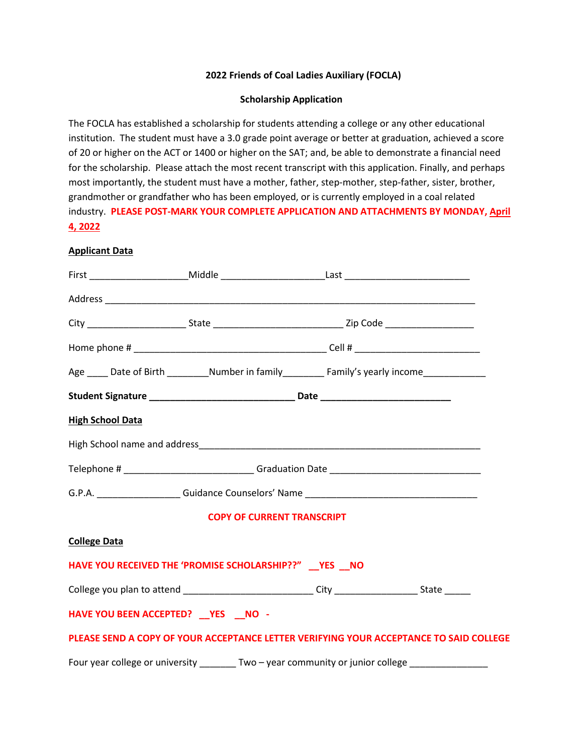## **2022 Friends of Coal Ladies Auxiliary (FOCLA)**

## **Scholarship Application**

The FOCLA has established a scholarship for students attending a college or any other educational institution. The student must have a 3.0 grade point average or better at graduation, achieved a score of 20 or higher on the ACT or 1400 or higher on the SAT; and, be able to demonstrate a financial need for the scholarship. Please attach the most recent transcript with this application. Finally, and perhaps most importantly, the student must have a mother, father, step-mother, step-father, sister, brother, grandmother or grandfather who has been employed, or is currently employed in a coal related industry. **PLEASE POST-MARK YOUR COMPLETE APPLICATION AND ATTACHMENTS BY MONDAY, April 4, 2022**

## **Applicant Data**

|                         | Age _____ Date of Birth __________Number in family______________Family's yearly income______________ |  |
|-------------------------|------------------------------------------------------------------------------------------------------|--|
|                         | Student Signature __________________________________Date _______________________                     |  |
| <b>High School Data</b> |                                                                                                      |  |
|                         |                                                                                                      |  |
|                         | Telephone # _____________________________Graduation Date _______________________                     |  |
|                         |                                                                                                      |  |
|                         | <b>COPY OF CURRENT TRANSCRIPT</b>                                                                    |  |
| <b>College Data</b>     |                                                                                                      |  |
|                         | HAVE YOU RECEIVED THE 'PROMISE SCHOLARSHIP??" __ YES __ NO                                           |  |
|                         | College you plan to attend ____________________________City __________________State ______           |  |
|                         | HAVE YOU BEEN ACCEPTED? __ YES __ NO -                                                               |  |
|                         | PLEASE SEND A COPY OF YOUR ACCEPTANCE LETTER VERIFYING YOUR ACCEPTANCE TO SAID COLLEGE               |  |
|                         | Four year college or university ________ Two - year community or junior college ________________     |  |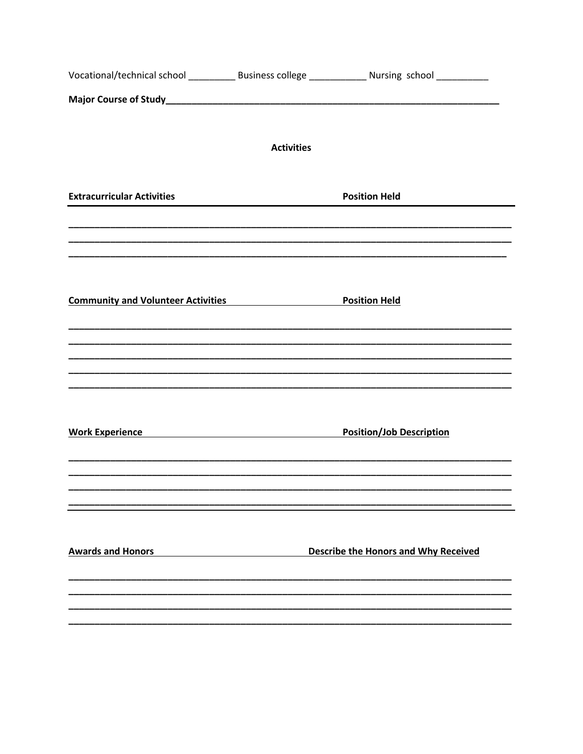|                                                                                                                                                                                                                                |                                                   | Vocational/technical school ______________ Business college _______________ Nursing school ______________ |  |
|--------------------------------------------------------------------------------------------------------------------------------------------------------------------------------------------------------------------------------|---------------------------------------------------|-----------------------------------------------------------------------------------------------------------|--|
|                                                                                                                                                                                                                                |                                                   |                                                                                                           |  |
|                                                                                                                                                                                                                                | <b>Activities</b>                                 |                                                                                                           |  |
| <b>Extracurricular Activities</b>                                                                                                                                                                                              |                                                   | <b>Position Held</b>                                                                                      |  |
| <b>Community and Volunteer Activities</b>                                                                                                                                                                                      |                                                   | <b>Position Held</b>                                                                                      |  |
|                                                                                                                                                                                                                                |                                                   |                                                                                                           |  |
| Work Experience New York Changes and Management Changes and Management Changes and Management Changes and Management Changes and Management Changes and Management Changes and Management Changes and Management Changes and M |                                                   | <b>Position/Job Description</b>                                                                           |  |
|                                                                                                                                                                                                                                |                                                   |                                                                                                           |  |
| <b>Awards and Honors</b>                                                                                                                                                                                                       | <u> 1989 - Johann Barbara, martxa alemaniar a</u> | <b>Describe the Honors and Why Received</b>                                                               |  |
|                                                                                                                                                                                                                                |                                                   |                                                                                                           |  |